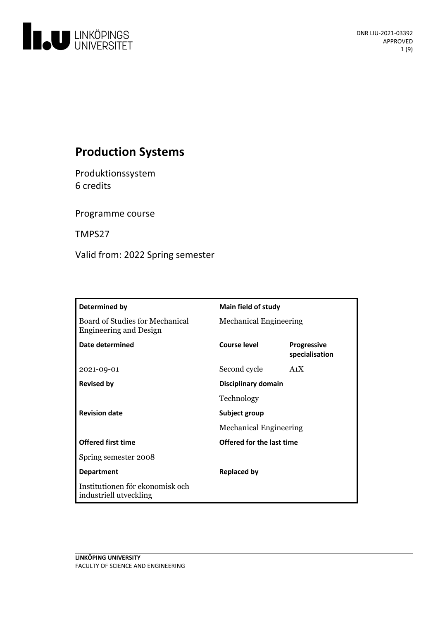

# **Production Systems**

Produktionssystem 6 credits

Programme course

TMPS27

Valid from: 2022 Spring semester

| Determined by                                                    | Main field of study           |                                      |
|------------------------------------------------------------------|-------------------------------|--------------------------------------|
| Board of Studies for Mechanical<br><b>Engineering and Design</b> | <b>Mechanical Engineering</b> |                                      |
| Date determined                                                  | <b>Course level</b>           | <b>Progressive</b><br>specialisation |
| 2021-09-01                                                       | Second cycle                  | A <sub>1</sub> X                     |
| <b>Revised by</b>                                                | Disciplinary domain           |                                      |
|                                                                  | Technology                    |                                      |
| <b>Revision date</b>                                             | Subject group                 |                                      |
|                                                                  | <b>Mechanical Engineering</b> |                                      |
| <b>Offered first time</b>                                        | Offered for the last time     |                                      |
| Spring semester 2008                                             |                               |                                      |
| <b>Department</b>                                                | <b>Replaced by</b>            |                                      |
| Institutionen för ekonomisk och<br>industriell utveckling        |                               |                                      |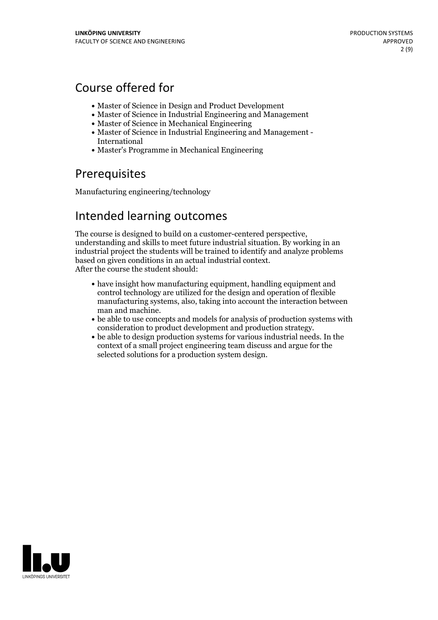# Course offered for

- Master of Science in Design and Product Development
- Master of Science in Industrial Engineering and Management
- Master of Science in Mechanical Engineering
- Master of Science in Industrial Engineering and Management International
- Master's Programme in Mechanical Engineering

# **Prerequisites**

Manufacturing engineering/technology

## Intended learning outcomes

The course is designed to build on <sup>a</sup> customer-centered perspective, understanding and skills to meet future industrial situation. By working in an industrial project the students will be trained to identify and analyze problems based on given conditions in an actual industrial context. After the course the student should:

- have insight how manufacturing equipment, handling equipment and control technology are utilized for the design and operation of flexible manufacturing systems, also, taking into account the interaction between
- $\bullet$  be able to use concepts and models for analysis of production systems with consideration to product development and production strategy. be able to design production systems for various industrial needs. In the
- context of a small project engineering team discuss and argue for the selected solutions for a production system design.

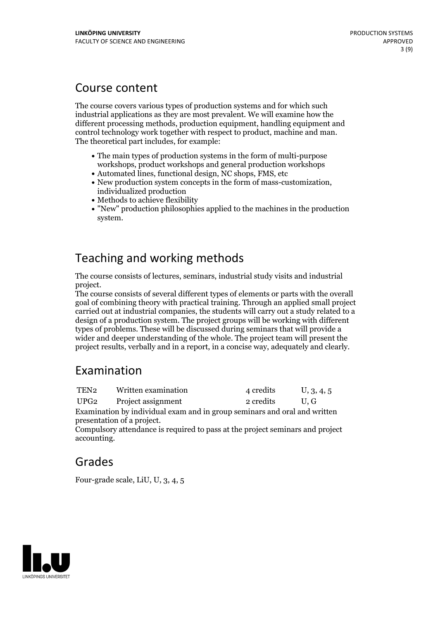## Course content

The course covers various types of production systems and for which such industrial applications as they are most prevalent. We will examine how the different processing methods, production equipment, handling equipment and control technology work together with respect to product, machine and man. The theoretical part includes, for example:

- The main types of production systems in the form of multi-purpose workshops, product workshops and general production workshops
- Automated lines, functional design, NC shops, FMS, etc
- New production system concepts in the form of mass-customization, individualized production
- Methods to achieve flexibility
- "New" production philosophies applied to the machines in the production system.

# Teaching and working methods

The course consists of lectures, seminars, industrial study visits and industrial

The course consists of several different types of elements or parts with the overall goal of combining theory with practical training. Through an applied small project carried out at industrial companies, the students will carry out a study related to a design of a production system. The project groups will be working with different types of problems. These will be discussed during seminars that will provide a wider and deeper understanding of the whole. The project team will present the project results, verbally and in a report, in a concise way, adequately and clearly.

# Examination

| TEN2                                                                      | Written examination                 | 4 credits | U, 3, 4, 5 |  |  |
|---------------------------------------------------------------------------|-------------------------------------|-----------|------------|--|--|
|                                                                           | UPG <sub>2</sub> Project assignment | 2 credits | U.G        |  |  |
| Examination by individual exam and in group seminars and oral and written |                                     |           |            |  |  |
|                                                                           | presentation of a project.          |           |            |  |  |

Compulsory attendance is required to pass at the project seminars and project accounting.

# Grades

Four-grade scale, LiU, U, 3, 4, 5

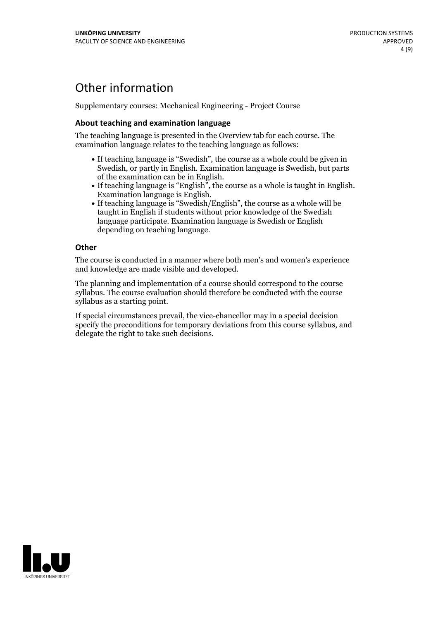# Other information

Supplementary courses: Mechanical Engineering - Project Course

### **About teaching and examination language**

The teaching language is presented in the Overview tab for each course. The examination language relates to the teaching language as follows:

- If teaching language is "Swedish", the course as a whole could be given in Swedish, or partly in English. Examination language is Swedish, but parts
- of the examination can be in English. If teaching language is "English", the course as <sup>a</sup> whole is taught in English. Examination language is English. If teaching language is "Swedish/English", the course as <sup>a</sup> whole will be
- taught in English if students without prior knowledge of the Swedish language participate. Examination language is Swedish or English depending on teaching language.

#### **Other**

The course is conducted in a manner where both men's and women's experience and knowledge are made visible and developed.

The planning and implementation of a course should correspond to the course syllabus. The course evaluation should therefore be conducted with the course syllabus as a starting point.

If special circumstances prevail, the vice-chancellor may in a special decision specify the preconditions for temporary deviations from this course syllabus, and delegate the right to take such decisions.

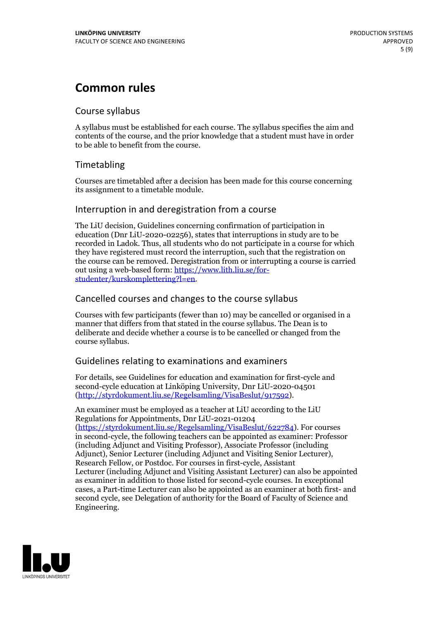# **Common rules**

### Course syllabus

A syllabus must be established for each course. The syllabus specifies the aim and contents of the course, and the prior knowledge that a student must have in order to be able to benefit from the course.

## Timetabling

Courses are timetabled after a decision has been made for this course concerning its assignment to a timetable module.

### Interruption in and deregistration from a course

The LiU decision, Guidelines concerning confirmation of participation in education (Dnr LiU-2020-02256), states that interruptions in study are to be recorded in Ladok. Thus, all students who do not participate in a course for which they have registered must record the interruption, such that the registration on the course can be removed. Deregistration from or interrupting a course is carried out using <sup>a</sup> web-based form: https://www.lith.liu.se/for- [studenter/kurskomplettering?l=en.](https://www.lith.liu.se/for-studenter/kurskomplettering?l=en)

## Cancelled courses and changes to the course syllabus

Courses with few participants (fewer than 10) may be cancelled or organised in a manner that differs from that stated in the course syllabus. The Dean is to deliberate and decide whether a course is to be cancelled or changed from the course syllabus.

## Guidelines relating to examinations and examiners

For details, see Guidelines for education and examination for first-cycle and second-cycle education at Linköping University, Dnr LiU-2020-04501 [\(http://styrdokument.liu.se/Regelsamling/VisaBeslut/917592\)](http://styrdokument.liu.se/Regelsamling/VisaBeslut/917592).

An examiner must be employed as a teacher at LiU according to the LiU Regulations for Appointments, Dnr LiU-2021-01204 [\(https://styrdokument.liu.se/Regelsamling/VisaBeslut/622784](https://styrdokument.liu.se/Regelsamling/VisaBeslut/622784)). For courses in second-cycle, the following teachers can be appointed as examiner: Professor (including Adjunct and Visiting Professor), Associate Professor (including Adjunct), Senior Lecturer (including Adjunct and Visiting Senior Lecturer), Research Fellow, or Postdoc. For courses in first-cycle, Assistant Lecturer (including Adjunct and Visiting Assistant Lecturer) can also be appointed as examiner in addition to those listed for second-cycle courses. In exceptional cases, a Part-time Lecturer can also be appointed as an examiner at both first- and second cycle, see Delegation of authority for the Board of Faculty of Science and Engineering.

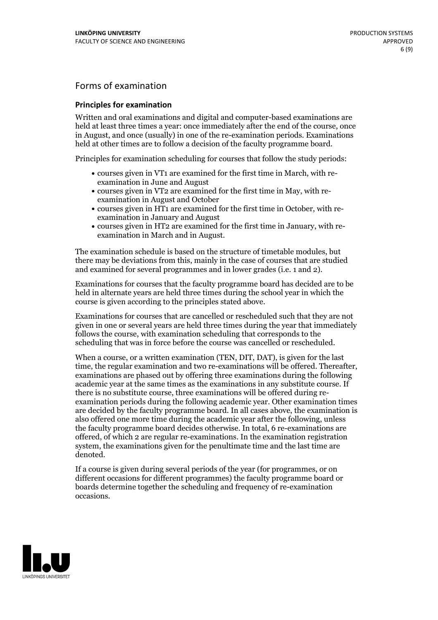## Forms of examination

### **Principles for examination**

Written and oral examinations and digital and computer-based examinations are held at least three times a year: once immediately after the end of the course, once in August, and once (usually) in one of the re-examination periods. Examinations held at other times are to follow a decision of the faculty programme board.

Principles for examination scheduling for courses that follow the study periods:

- courses given in VT1 are examined for the first time in March, with re-examination in June and August
- courses given in VT2 are examined for the first time in May, with re-examination in August and October
- courses given in HT1 are examined for the first time in October, with re-examination in January and August
- courses given in HT2 are examined for the first time in January, with re-examination in March and in August.

The examination schedule is based on the structure of timetable modules, but there may be deviations from this, mainly in the case of courses that are studied and examined for several programmes and in lower grades (i.e. 1 and 2).

Examinations for courses that the faculty programme board has decided are to be held in alternate years are held three times during the school year in which the course is given according to the principles stated above.

Examinations for courses that are cancelled orrescheduled such that they are not given in one or several years are held three times during the year that immediately follows the course, with examination scheduling that corresponds to the scheduling that was in force before the course was cancelled or rescheduled.

When a course, or a written examination (TEN, DIT, DAT), is given for the last time, the regular examination and two re-examinations will be offered. Thereafter, examinations are phased out by offering three examinations during the following academic year at the same times as the examinations in any substitute course. If there is no substitute course, three examinations will be offered during re- examination periods during the following academic year. Other examination times are decided by the faculty programme board. In all cases above, the examination is also offered one more time during the academic year after the following, unless the faculty programme board decides otherwise. In total, 6 re-examinations are offered, of which 2 are regular re-examinations. In the examination registration system, the examinations given for the penultimate time and the last time are denoted.

If a course is given during several periods of the year (for programmes, or on different occasions for different programmes) the faculty programme board or boards determine together the scheduling and frequency of re-examination occasions.

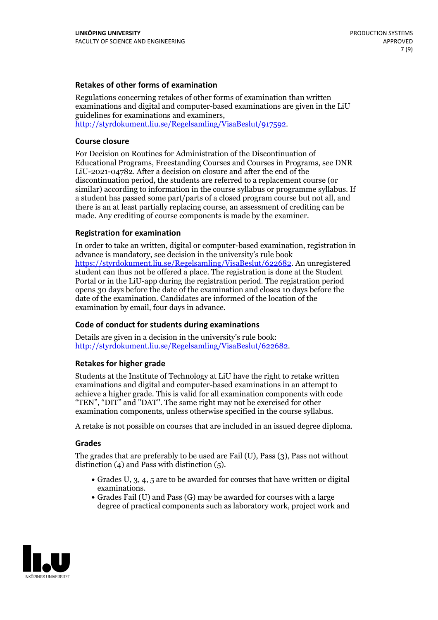### **Retakes of other forms of examination**

Regulations concerning retakes of other forms of examination than written examinations and digital and computer-based examinations are given in the LiU guidelines for examinations and examiners, [http://styrdokument.liu.se/Regelsamling/VisaBeslut/917592.](http://styrdokument.liu.se/Regelsamling/VisaBeslut/917592)

#### **Course closure**

For Decision on Routines for Administration of the Discontinuation of Educational Programs, Freestanding Courses and Courses in Programs, see DNR LiU-2021-04782. After a decision on closure and after the end of the discontinuation period, the students are referred to a replacement course (or similar) according to information in the course syllabus or programme syllabus. If a student has passed some part/parts of a closed program course but not all, and there is an at least partially replacing course, an assessment of crediting can be made. Any crediting of course components is made by the examiner.

#### **Registration for examination**

In order to take an written, digital or computer-based examination, registration in advance is mandatory, see decision in the university's rule book [https://styrdokument.liu.se/Regelsamling/VisaBeslut/622682.](https://styrdokument.liu.se/Regelsamling/VisaBeslut/622682) An unregistered student can thus not be offered a place. The registration is done at the Student Portal or in the LiU-app during the registration period. The registration period opens 30 days before the date of the examination and closes 10 days before the date of the examination. Candidates are informed of the location of the examination by email, four days in advance.

#### **Code of conduct for students during examinations**

Details are given in a decision in the university's rule book: <http://styrdokument.liu.se/Regelsamling/VisaBeslut/622682>.

#### **Retakes for higher grade**

Students at the Institute of Technology at LiU have the right to retake written examinations and digital and computer-based examinations in an attempt to achieve a higher grade. This is valid for all examination components with code "TEN", "DIT" and "DAT". The same right may not be exercised for other examination components, unless otherwise specified in the course syllabus.

A retake is not possible on courses that are included in an issued degree diploma.

#### **Grades**

The grades that are preferably to be used are Fail (U), Pass (3), Pass not without distinction  $(4)$  and Pass with distinction  $(5)$ .

- Grades U, 3, 4, 5 are to be awarded for courses that have written or digital examinations.<br>• Grades Fail (U) and Pass (G) may be awarded for courses with a large
- degree of practical components such as laboratory work, project work and

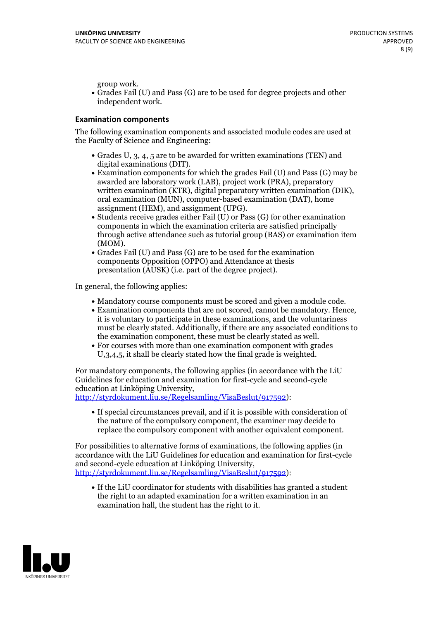group work.<br>• Grades Fail (U) and Pass (G) are to be used for degree projects and other independent work.

### **Examination components**

The following examination components and associated module codes are used at the Faculty of Science and Engineering:

- Grades U, 3, 4, 5 are to be awarded for written examinations (TEN) and
- digital examinations (DIT).<br>• Examination components for which the grades Fail (U) and Pass (G) may be awarded are laboratory work (LAB), project work (PRA), preparatory written examination (KTR), digital preparatory written examination (DIK), oral examination (MUN), computer-based examination (DAT), home
- assignment (HEM), and assignment (UPG).<br>• Students receive grades either Fail (U) or Pass (G) for other examination components in which the examination criteria are satisfied principally through active attendance such as tutorial group (BAS) or examination item
- (MOM).<br>• Grades Fail (U) and Pass (G) are to be used for the examination components Opposition (OPPO) and Attendance at thesis presentation (AUSK) (i.e. part of the degree project).

In general, the following applies:

- 
- Mandatory course components must be scored and given <sup>a</sup> module code. Examination components that are not scored, cannot be mandatory. Hence, it is voluntary to participate in these examinations, and the voluntariness must be clearly stated. Additionally, if there are any associated conditions to
- the examination component, these must be clearly stated as well.<br>• For courses with more than one examination component with grades U,3,4,5, it shall be clearly stated how the final grade is weighted.

For mandatory components, the following applies (in accordance with the LiU Guidelines for education and examination for first-cycle and second-cycle education at Linköping University,<br>[http://styrdokument.liu.se/Regelsamling/VisaBeslut/917592\)](http://styrdokument.liu.se/Regelsamling/VisaBeslut/917592):

If special circumstances prevail, and if it is possible with consideration of the nature of the compulsory component, the examiner may decide to replace the compulsory component with another equivalent component.

For possibilities to alternative forms of examinations, the following applies (in accordance with the LiU Guidelines for education and examination for first-cycle [http://styrdokument.liu.se/Regelsamling/VisaBeslut/917592\)](http://styrdokument.liu.se/Regelsamling/VisaBeslut/917592):

If the LiU coordinator for students with disabilities has granted a student the right to an adapted examination for a written examination in an examination hall, the student has the right to it.